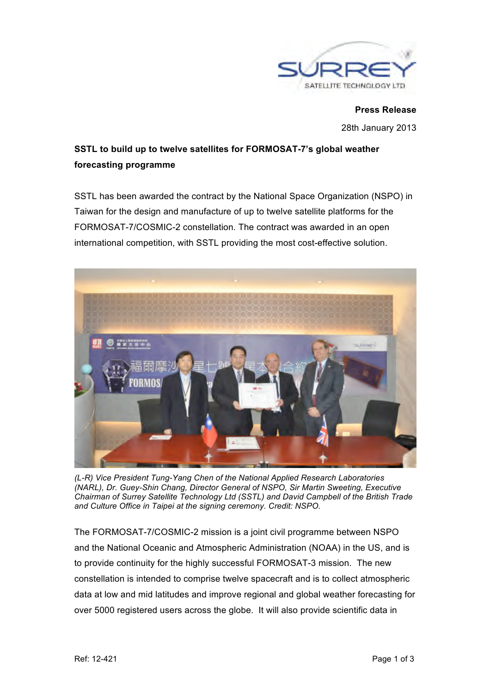

**Press Release** 28th January 2013

# **SSTL to build up to twelve satellites for FORMOSAT-7's global weather forecasting programme**

SSTL has been awarded the contract by the National Space Organization (NSPO) in Taiwan for the design and manufacture of up to twelve satellite platforms for the FORMOSAT-7/COSMIC-2 constellation. The contract was awarded in an open international competition, with SSTL providing the most cost-effective solution.



*(L-R) Vice President Tung-Yang Chen of the National Applied Research Laboratories (NARL), Dr. Guey-Shin Chang, Director General of NSPO, Sir Martin Sweeting, Executive Chairman of Surrey Satellite Technology Ltd (SSTL) and David Campbell of the British Trade and Culture Office in Taipei at the signing ceremony. Credit: NSPO.*

The FORMOSAT-7/COSMIC-2 mission is a joint civil programme between NSPO and the National Oceanic and Atmospheric Administration (NOAA) in the US, and is to provide continuity for the highly successful FORMOSAT-3 mission. The new constellation is intended to comprise twelve spacecraft and is to collect atmospheric data at low and mid latitudes and improve regional and global weather forecasting for over 5000 registered users across the globe. It will also provide scientific data in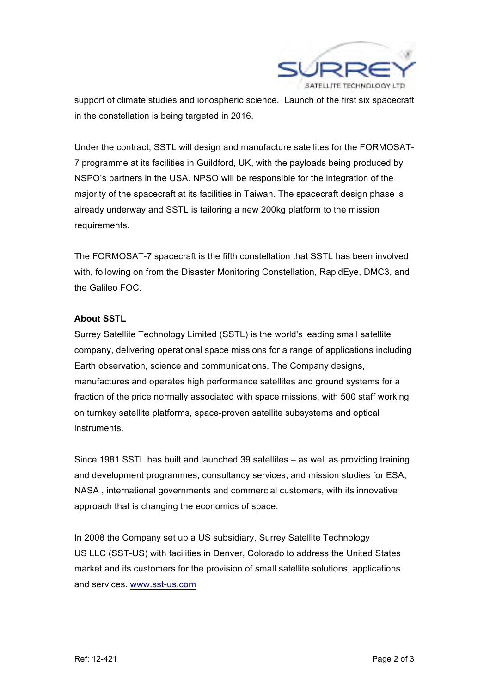

support of climate studies and ionospheric science. Launch of the first six spacecraft in the constellation is being targeted in 2016.

Under the contract, SSTL will design and manufacture satellites for the FORMOSAT-7 programme at its facilities in Guildford, UK, with the payloads being produced by NSPO's partners in the USA. NPSO will be responsible for the integration of the majority of the spacecraft at its facilities in Taiwan. The spacecraft design phase is already underway and SSTL is tailoring a new 200kg platform to the mission requirements.

The FORMOSAT-7 spacecraft is the fifth constellation that SSTL has been involved with, following on from the Disaster Monitoring Constellation, RapidEye, DMC3, and the Galileo FOC.

## **About SSTL**

Surrey Satellite Technology Limited (SSTL) is the world's leading small satellite company, delivering operational space missions for a range of applications including Earth observation, science and communications. The Company designs, manufactures and operates high performance satellites and ground systems for a fraction of the price normally associated with space missions, with 500 staff working on turnkey satellite platforms, space-proven satellite subsystems and optical instruments.

Since 1981 SSTL has built and launched 39 satellites – as well as providing training and development programmes, consultancy services, and mission studies for ESA, NASA , international governments and commercial customers, with its innovative approach that is changing the economics of space.

In 2008 the Company set up a US subsidiary, Surrey Satellite Technology US LLC (SST-US) with facilities in Denver, Colorado to address the United States market and its customers for the provision of small satellite solutions, applications and services. www.sst-us.com